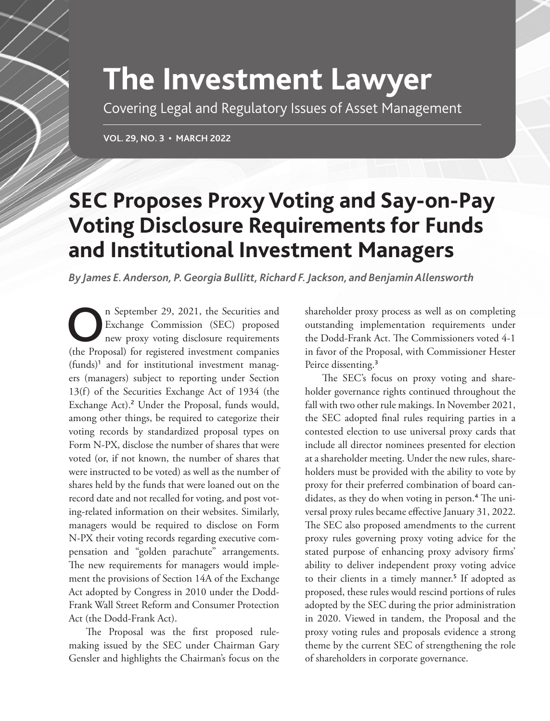# **The Investment Lawyer**

Covering Legal and Regulatory Issues of Asset Management

**VOL. 29, NO. 3 • MARCH 2022**

# **SEC Proposes Proxy Voting and Say-on-Pay Voting Disclosure Requirements for Funds and Institutional Investment Managers**

*By James E. Anderson, P. Georgia Bullitt, Richard F. Jackson, and Benjamin Allensworth*

In September 29, 2021, the Securities and<br>Exchange Commission (SEC) proposed<br>new proxy voting disclosure requirements Exchange Commission (SEC) proposed new proxy voting disclosure requirements (the Proposal) for registered investment companies (funds)<sup>1</sup> and for institutional investment managers (managers) subject to reporting under Section 13(f) of the Securities Exchange Act of 1934 (the Exchange Act).<sup>2</sup> Under the Proposal, funds would, among other things, be required to categorize their voting records by standardized proposal types on Form N-PX, disclose the number of shares that were voted (or, if not known, the number of shares that were instructed to be voted) as well as the number of shares held by the funds that were loaned out on the record date and not recalled for voting, and post voting-related information on their websites. Similarly, managers would be required to disclose on Form N-PX their voting records regarding executive compensation and "golden parachute" arrangements. The new requirements for managers would implement the provisions of Section 14A of the Exchange Act adopted by Congress in 2010 under the Dodd-Frank Wall Street Reform and Consumer Protection Act (the Dodd-Frank Act).

The Proposal was the first proposed rulemaking issued by the SEC under Chairman Gary Gensler and highlights the Chairman's focus on the shareholder proxy process as well as on completing outstanding implementation requirements under the Dodd-Frank Act. The Commissioners voted 4-1 in favor of the Proposal, with Commissioner Hester Peirce dissenting.<sup>3</sup>

The SEC's focus on proxy voting and shareholder governance rights continued throughout the fall with two other rule makings. In November 2021, the SEC adopted final rules requiring parties in a contested election to use universal proxy cards that include all director nominees presented for election at a shareholder meeting. Under the new rules, shareholders must be provided with the ability to vote by proxy for their preferred combination of board candidates, as they do when voting in person.<sup>4</sup> The universal proxy rules became effective January 31, 2022. The SEC also proposed amendments to the current proxy rules governing proxy voting advice for the stated purpose of enhancing proxy advisory firms' ability to deliver independent proxy voting advice to their clients in a timely manner.<sup>5</sup> If adopted as proposed, these rules would rescind portions of rules adopted by the SEC during the prior administration in 2020. Viewed in tandem, the Proposal and the proxy voting rules and proposals evidence a strong theme by the current SEC of strengthening the role of shareholders in corporate governance.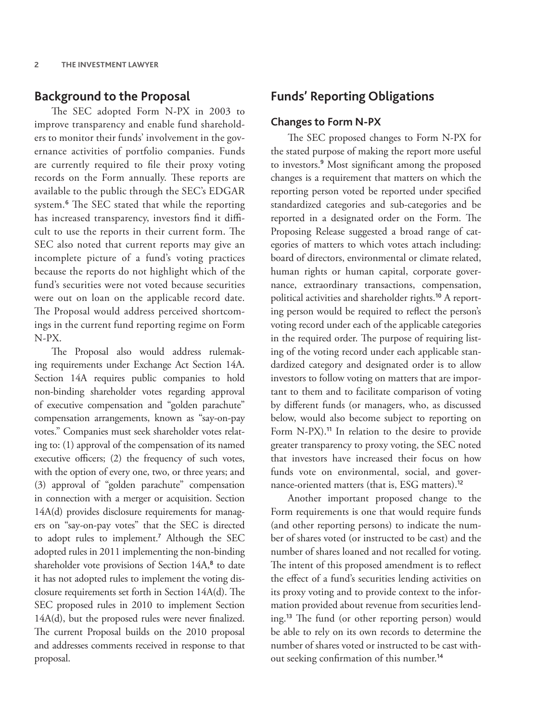# **Background to the Proposal**

The SEC adopted Form N-PX in 2003 to improve transparency and enable fund shareholders to monitor their funds' involvement in the governance activities of portfolio companies. Funds are currently required to file their proxy voting records on the Form annually. These reports are available to the public through the SEC's EDGAR system.<sup>6</sup> The SEC stated that while the reporting has increased transparency, investors find it difficult to use the reports in their current form. The SEC also noted that current reports may give an incomplete picture of a fund's voting practices because the reports do not highlight which of the fund's securities were not voted because securities were out on loan on the applicable record date. The Proposal would address perceived shortcomings in the current fund reporting regime on Form N-PX.

The Proposal also would address rulemaking requirements under Exchange Act Section 14A. Section 14A requires public companies to hold non-binding shareholder votes regarding approval of executive compensation and "golden parachute" compensation arrangements, known as "say-on-pay votes." Companies must seek shareholder votes relating to: (1) approval of the compensation of its named executive officers; (2) the frequency of such votes, with the option of every one, two, or three years; and (3) approval of "golden parachute" compensation in connection with a merger or acquisition. Section 14A(d) provides disclosure requirements for managers on "say-on-pay votes" that the SEC is directed to adopt rules to implement.<sup>7</sup> Although the SEC adopted rules in 2011 implementing the non-binding shareholder vote provisions of Section 14A,<sup>8</sup> to date it has not adopted rules to implement the voting disclosure requirements set forth in Section 14A(d). The SEC proposed rules in 2010 to implement Section 14A(d), but the proposed rules were never finalized. The current Proposal builds on the 2010 proposal and addresses comments received in response to that proposal.

# **Funds' Reporting Obligations**

#### **Changes to Form N-PX**

The SEC proposed changes to Form N-PX for the stated purpose of making the report more useful to investors.<sup>9</sup> Most significant among the proposed changes is a requirement that matters on which the reporting person voted be reported under specified standardized categories and sub-categories and be reported in a designated order on the Form. The Proposing Release suggested a broad range of categories of matters to which votes attach including: board of directors, environmental or climate related, human rights or human capital, corporate governance, extraordinary transactions, compensation, political activities and shareholder rights.<sup>10</sup> A reporting person would be required to reflect the person's voting record under each of the applicable categories in the required order. The purpose of requiring listing of the voting record under each applicable standardized category and designated order is to allow investors to follow voting on matters that are important to them and to facilitate comparison of voting by different funds (or managers, who, as discussed below, would also become subject to reporting on Form N-PX).<sup>11</sup> In relation to the desire to provide greater transparency to proxy voting, the SEC noted that investors have increased their focus on how funds vote on environmental, social, and governance-oriented matters (that is, ESG matters).<sup>12</sup>

Another important proposed change to the Form requirements is one that would require funds (and other reporting persons) to indicate the number of shares voted (or instructed to be cast) and the number of shares loaned and not recalled for voting. The intent of this proposed amendment is to reflect the effect of a fund's securities lending activities on its proxy voting and to provide context to the information provided about revenue from securities lending.<sup>13</sup> The fund (or other reporting person) would be able to rely on its own records to determine the number of shares voted or instructed to be cast without seeking confirmation of this number.<sup>14</sup>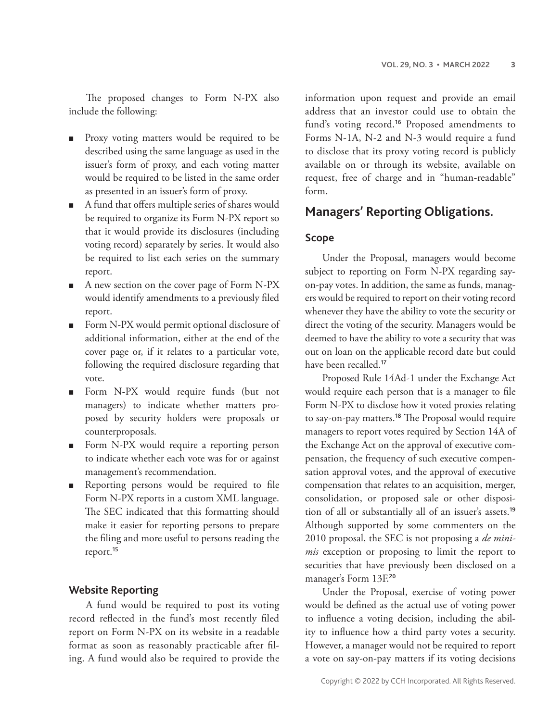The proposed changes to Form N-PX also include the following:

- Proxy voting matters would be required to be described using the same language as used in the issuer's form of proxy, and each voting matter would be required to be listed in the same order as presented in an issuer's form of proxy.
- A fund that offers multiple series of shares would be required to organize its Form N-PX report so that it would provide its disclosures (including voting record) separately by series. It would also be required to list each series on the summary report.
- A new section on the cover page of Form N-PX would identify amendments to a previously filed report.
- Form N-PX would permit optional disclosure of additional information, either at the end of the cover page or, if it relates to a particular vote, following the required disclosure regarding that vote.
- Form N-PX would require funds (but not managers) to indicate whether matters proposed by security holders were proposals or counterproposals.
- Form N-PX would require a reporting person to indicate whether each vote was for or against management's recommendation.
- Reporting persons would be required to file Form N-PX reports in a custom XML language. The SEC indicated that this formatting should make it easier for reporting persons to prepare the filing and more useful to persons reading the report.<sup>15</sup>

#### **Website Reporting**

A fund would be required to post its voting record reflected in the fund's most recently filed report on Form N-PX on its website in a readable format as soon as reasonably practicable after filing. A fund would also be required to provide the

information upon request and provide an email address that an investor could use to obtain the fund's voting record.<sup>16</sup> Proposed amendments to Forms N-1A, N-2 and N-3 would require a fund to disclose that its proxy voting record is publicly available on or through its website, available on request, free of charge and in "human-readable" form.

# **Managers' Reporting Obligations.**

### **Scope**

Under the Proposal, managers would become subject to reporting on Form N-PX regarding sayon-pay votes. In addition, the same as funds, managers would be required to report on their voting record whenever they have the ability to vote the security or direct the voting of the security. Managers would be deemed to have the ability to vote a security that was out on loan on the applicable record date but could have been recalled.<sup>17</sup>

Proposed Rule 14Ad-1 under the Exchange Act would require each person that is a manager to file Form N-PX to disclose how it voted proxies relating to say-on-pay matters.<sup>18</sup> The Proposal would require managers to report votes required by Section 14A of the Exchange Act on the approval of executive compensation, the frequency of such executive compensation approval votes, and the approval of executive compensation that relates to an acquisition, merger, consolidation, or proposed sale or other disposition of all or substantially all of an issuer's assets.<sup>19</sup> Although supported by some commenters on the 2010 proposal, the SEC is not proposing a *de minimis* exception or proposing to limit the report to securities that have previously been disclosed on a manager's Form 13F.<sup>20</sup>

Under the Proposal, exercise of voting power would be defined as the actual use of voting power to influence a voting decision, including the ability to influence how a third party votes a security. However, a manager would not be required to report a vote on say-on-pay matters if its voting decisions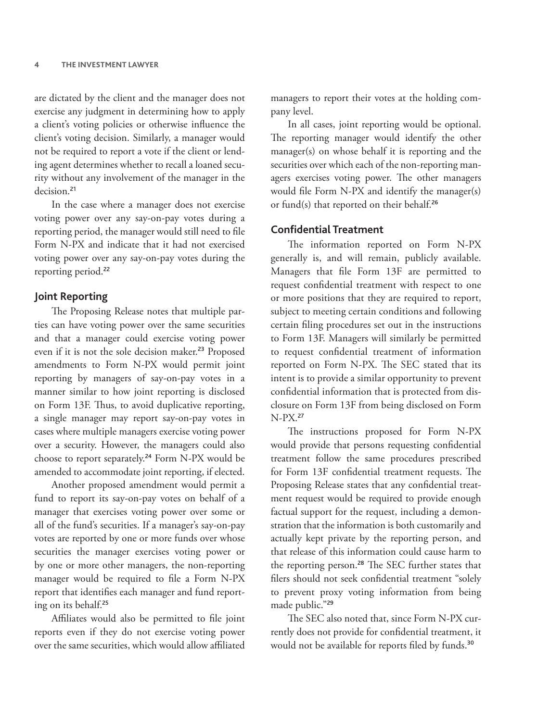are dictated by the client and the manager does not exercise any judgment in determining how to apply a client's voting policies or otherwise influence the client's voting decision. Similarly, a manager would not be required to report a vote if the client or lending agent determines whether to recall a loaned security without any involvement of the manager in the decision.<sup>21</sup>

In the case where a manager does not exercise voting power over any say-on-pay votes during a reporting period, the manager would still need to file Form N-PX and indicate that it had not exercised voting power over any say-on-pay votes during the reporting period.<sup>22</sup>

#### **Joint Reporting**

The Proposing Release notes that multiple parties can have voting power over the same securities and that a manager could exercise voting power even if it is not the sole decision maker.<sup>23</sup> Proposed amendments to Form N-PX would permit joint reporting by managers of say-on-pay votes in a manner similar to how joint reporting is disclosed on Form 13F. Thus, to avoid duplicative reporting, a single manager may report say-on-pay votes in cases where multiple managers exercise voting power over a security. However, the managers could also choose to report separately.<sup>24</sup> Form N-PX would be amended to accommodate joint reporting, if elected.

Another proposed amendment would permit a fund to report its say-on-pay votes on behalf of a manager that exercises voting power over some or all of the fund's securities. If a manager's say-on-pay votes are reported by one or more funds over whose securities the manager exercises voting power or by one or more other managers, the non-reporting manager would be required to file a Form N-PX report that identifies each manager and fund reporting on its behalf.<sup>25</sup>

Affiliates would also be permitted to file joint reports even if they do not exercise voting power over the same securities, which would allow affiliated managers to report their votes at the holding company level.

In all cases, joint reporting would be optional. The reporting manager would identify the other manager(s) on whose behalf it is reporting and the securities over which each of the non-reporting managers exercises voting power. The other managers would file Form N-PX and identify the manager(s) or fund(s) that reported on their behalf.<sup>26</sup>

#### **Confidential Treatment**

The information reported on Form N-PX generally is, and will remain, publicly available. Managers that file Form 13F are permitted to request confidential treatment with respect to one or more positions that they are required to report, subject to meeting certain conditions and following certain filing procedures set out in the instructions to Form 13F. Managers will similarly be permitted to request confidential treatment of information reported on Form N-PX. The SEC stated that its intent is to provide a similar opportunity to prevent confidential information that is protected from disclosure on Form 13F from being disclosed on Form N-PX.<sup>27</sup>

The instructions proposed for Form N-PX would provide that persons requesting confidential treatment follow the same procedures prescribed for Form 13F confidential treatment requests. The Proposing Release states that any confidential treatment request would be required to provide enough factual support for the request, including a demonstration that the information is both customarily and actually kept private by the reporting person, and that release of this information could cause harm to the reporting person.<sup>28</sup> The SEC further states that filers should not seek confidential treatment "solely to prevent proxy voting information from being made public."<sup>29</sup>

The SEC also noted that, since Form N-PX currently does not provide for confidential treatment, it would not be available for reports filed by funds.<sup>30</sup>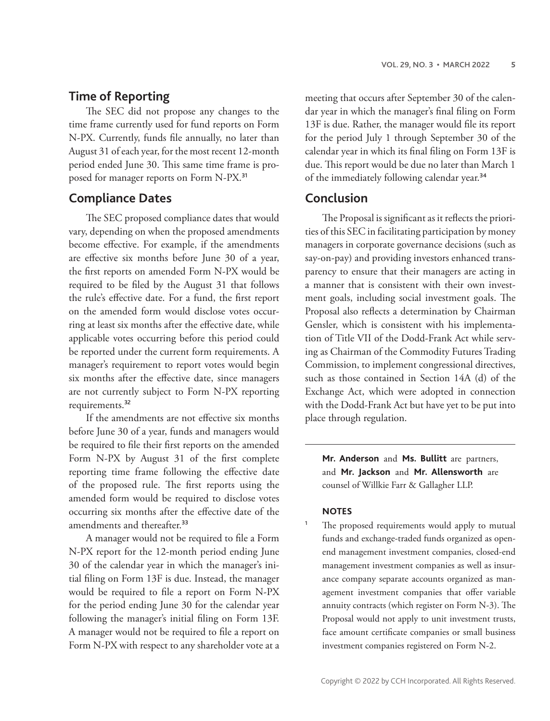# **Time of Reporting**

The SEC did not propose any changes to the time frame currently used for fund reports on Form N-PX. Currently, funds file annually, no later than August 31 of each year, for the most recent 12-month period ended June 30. This same time frame is proposed for manager reports on Form N-PX.<sup>31</sup>

# **Compliance Dates**

The SEC proposed compliance dates that would vary, depending on when the proposed amendments become effective. For example, if the amendments are effective six months before June 30 of a year, the first reports on amended Form N-PX would be required to be filed by the August 31 that follows the rule's effective date. For a fund, the first report on the amended form would disclose votes occurring at least six months after the effective date, while applicable votes occurring before this period could be reported under the current form requirements. A manager's requirement to report votes would begin six months after the effective date, since managers are not currently subject to Form N-PX reporting requirements.<sup>32</sup>

If the amendments are not effective six months before June 30 of a year, funds and managers would be required to file their first reports on the amended Form N-PX by August 31 of the first complete reporting time frame following the effective date of the proposed rule. The first reports using the amended form would be required to disclose votes occurring six months after the effective date of the amendments and thereafter.<sup>33</sup>

A manager would not be required to file a Form N-PX report for the 12-month period ending June 30 of the calendar year in which the manager's initial filing on Form 13F is due. Instead, the manager would be required to file a report on Form N-PX for the period ending June 30 for the calendar year following the manager's initial filing on Form 13F. A manager would not be required to file a report on Form N-PX with respect to any shareholder vote at a

meeting that occurs after September 30 of the calendar year in which the manager's final filing on Form 13F is due. Rather, the manager would file its report for the period July 1 through September 30 of the calendar year in which its final filing on Form 13F is due. This report would be due no later than March 1 of the immediately following calendar year.<sup>34</sup>

# **Conclusion**

The Proposal is significant as it reflects the priorities of this SEC in facilitating participation by money managers in corporate governance decisions (such as say-on-pay) and providing investors enhanced transparency to ensure that their managers are acting in a manner that is consistent with their own investment goals, including social investment goals. The Proposal also reflects a determination by Chairman Gensler, which is consistent with his implementation of Title VII of the Dodd-Frank Act while serving as Chairman of the Commodity Futures Trading Commission, to implement congressional directives, such as those contained in Section 14A (d) of the Exchange Act, which were adopted in connection with the Dodd-Frank Act but have yet to be put into place through regulation.

**Mr. Anderson** and **Ms. Bullitt** are partners, and **Mr. Jackson** and **Mr. Allensworth** are counsel of Willkie Farr & Gallagher LLP.

#### **NOTES**

<sup>1</sup> The proposed requirements would apply to mutual funds and exchange-traded funds organized as openend management investment companies, closed-end management investment companies as well as insurance company separate accounts organized as management investment companies that offer variable annuity contracts (which register on Form N-3). The Proposal would not apply to unit investment trusts, face amount certificate companies or small business investment companies registered on Form N-2.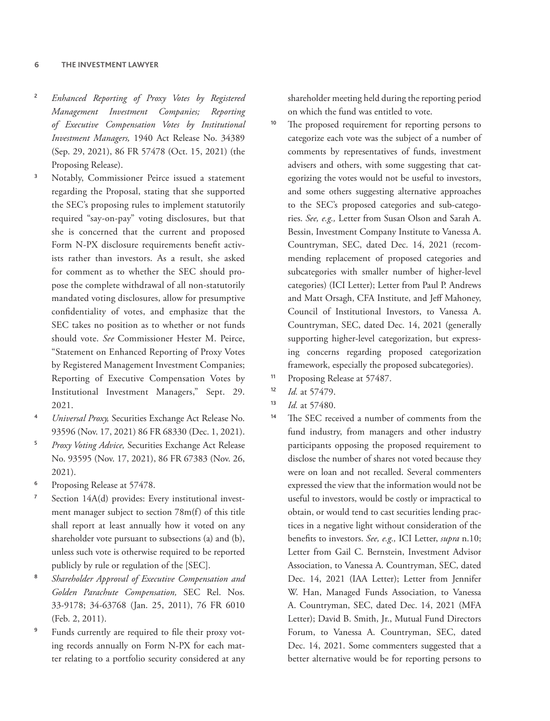#### **6 THE INVESTMENT LAWYER**

- <sup>2</sup> *Enhanced Reporting of Proxy Votes by Registered Management Investment Companies; Reporting of Executive Compensation Votes by Institutional Investment Managers,* 1940 Act Release No. 34389 (Sep. 29, 2021), 86 FR 57478 (Oct. 15, 2021) (the Proposing Release).
- Notably, Commissioner Peirce issued a statement regarding the Proposal, stating that she supported the SEC's proposing rules to implement statutorily required "say-on-pay" voting disclosures, but that she is concerned that the current and proposed Form N-PX disclosure requirements benefit activists rather than investors. As a result, she asked for comment as to whether the SEC should propose the complete withdrawal of all non-statutorily mandated voting disclosures, allow for presumptive confidentiality of votes, and emphasize that the SEC takes no position as to whether or not funds should vote. *See* Commissioner Hester M. Peirce, "Statement on Enhanced Reporting of Proxy Votes by Registered Management Investment Companies; Reporting of Executive Compensation Votes by Institutional Investment Managers," Sept. 29. 2021.
- <sup>4</sup> *Universal Proxy,* Securities Exchange Act Release No. 93596 (Nov. 17, 2021) 86 FR 68330 (Dec. 1, 2021).
- <sup>5</sup> *Proxy Voting Advice,* Securities Exchange Act Release No. 93595 (Nov. 17, 2021), 86 FR 67383 (Nov. 26, 2021).
- Proposing Release at 57478.
- <sup>7</sup> Section 14A(d) provides: Every institutional investment manager subject to section 78m(f) of this title shall report at least annually how it voted on any shareholder vote pursuant to subsections (a) and (b), unless such vote is otherwise required to be reported publicly by rule or regulation of the [SEC].
- <sup>8</sup> *Shareholder Approval of Executive Compensation and Golden Parachute Compensation,* SEC Rel. Nos. 33-9178; 34-63768 (Jan. 25, 2011), 76 FR 6010 (Feb. 2, 2011).
- <sup>9</sup> Funds currently are required to file their proxy voting records annually on Form N-PX for each matter relating to a portfolio security considered at any

shareholder meeting held during the reporting period on which the fund was entitled to vote.

- The proposed requirement for reporting persons to categorize each vote was the subject of a number of comments by representatives of funds, investment advisers and others, with some suggesting that categorizing the votes would not be useful to investors, and some others suggesting alternative approaches to the SEC's proposed categories and sub-categories. *See, e.g.,* Letter from Susan Olson and Sarah A. Bessin, Investment Company Institute to Vanessa A. Countryman, SEC, dated Dec. 14, 2021 (recommending replacement of proposed categories and subcategories with smaller number of higher-level categories) (ICI Letter); Letter from Paul P. Andrews and Matt Orsagh, CFA Institute, and Jeff Mahoney, Council of Institutional Investors, to Vanessa A. Countryman, SEC, dated Dec. 14, 2021 (generally supporting higher-level categorization, but expressing concerns regarding proposed categorization framework, especially the proposed subcategories).
- <sup>11</sup> Proposing Release at 57487.
- <sup>12</sup> *Id.* at 57479.
- <sup>13</sup> *Id.* at 57480.
- <sup>14</sup> The SEC received a number of comments from the fund industry, from managers and other industry participants opposing the proposed requirement to disclose the number of shares not voted because they were on loan and not recalled. Several commenters expressed the view that the information would not be useful to investors, would be costly or impractical to obtain, or would tend to cast securities lending practices in a negative light without consideration of the benefits to investors. *See, e.g.,* ICI Letter, *supra* n.10; Letter from Gail C. Bernstein, Investment Advisor Association, to Vanessa A. Countryman, SEC, dated Dec. 14, 2021 (IAA Letter); Letter from Jennifer W. Han, Managed Funds Association, to Vanessa A. Countryman, SEC, dated Dec. 14, 2021 (MFA Letter); David B. Smith, Jr., Mutual Fund Directors Forum, to Vanessa A. Countryman, SEC, dated Dec. 14, 2021. Some commenters suggested that a better alternative would be for reporting persons to